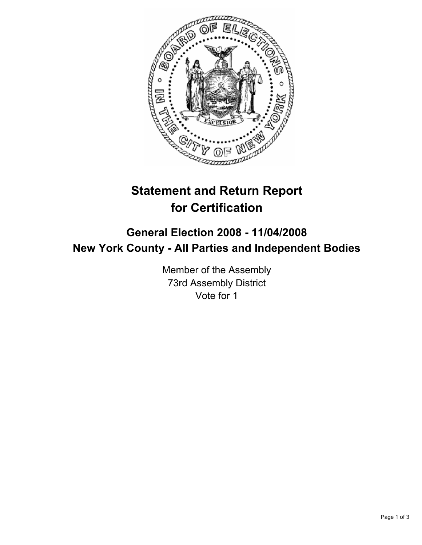

# **Statement and Return Report for Certification**

## **General Election 2008 - 11/04/2008 New York County - All Parties and Independent Bodies**

Member of the Assembly 73rd Assembly District Vote for 1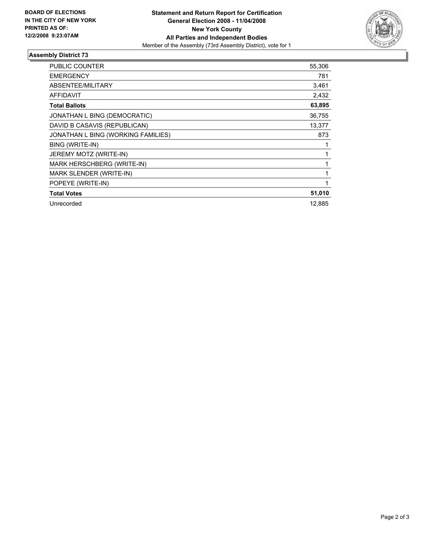

### **Assembly District 73**

| <b>PUBLIC COUNTER</b>              | 55,306 |
|------------------------------------|--------|
| <b>EMERGENCY</b>                   | 781    |
|                                    |        |
| ABSENTEE/MILITARY                  | 3,461  |
| <b>AFFIDAVIT</b>                   | 2,432  |
| <b>Total Ballots</b>               | 63,895 |
| JONATHAN L BING (DEMOCRATIC)       | 36,755 |
| DAVID B CASAVIS (REPUBLICAN)       | 13,377 |
| JONATHAN L BING (WORKING FAMILIES) | 873    |
| BING (WRITE-IN)                    |        |
| JEREMY MOTZ (WRITE-IN)             |        |
| MARK HERSCHBERG (WRITE-IN)         |        |
| MARK SLENDER (WRITE-IN)            |        |
| POPEYE (WRITE-IN)                  |        |
| <b>Total Votes</b>                 | 51,010 |
| Unrecorded                         | 12,885 |